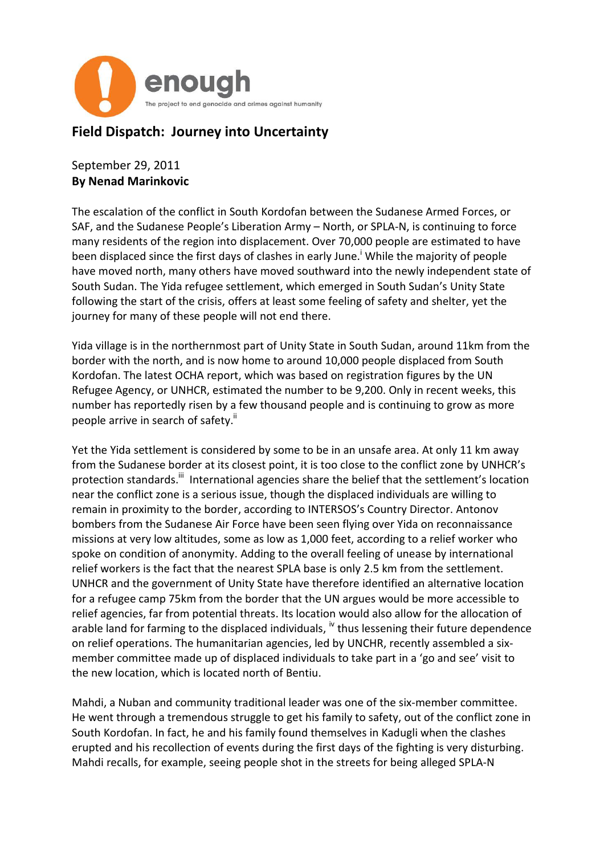

## **Field Dispatch: Journey into Uncertainty**

## September 29, 2011 **By Nenad Marinkovic**

The escalation of the conflict in South Kordofan between the Sudanese Armed Forces, or SAF, and the Sudanese People's Liberation Army – North, or SPLA-N, is continuing to force many residents of the region into displacement. Over 70,000 people are estimated to have been displaced since the first days of clashes in early June.<sup>1</sup> While the majority of people have moved north, many others have moved southward into the newly independent state of South Sudan. The Yida refugee settlement, which emerged in South Sudan's Unity State following the start of the crisis, offers at least some feeling of safety and shelter, yet the journey for many of these people will not end there.

Yida village is in the northernmost part of Unity State in South Sudan, around 11km from the border with the north, and is now home to around 10,000 people displaced from South Kordofan. The latest OCHA report, which was based on registration figures by the UN Refugee Agency, or UNHCR, estimated the number to be 9,200. Only in recent weeks, this number has reportedly risen by a few thousand people and is continuing to grow as more people arrive in search of safety.<sup>ii</sup>

Yet the Yida settlement is considered by some to be in an unsafe area. At only 11 km away from the Sudanese border at its closest point, it is too close to the conflict zone by UNHCR's protection standards.<sup>iii</sup> International agencies share the belief that the settlement's location near the conflict zone is a serious issue, though the displaced individuals are willing to remain in proximity to the border, according to INTERSOS's Country Director. Antonov bombers from the Sudanese Air Force have been seen flying over Yida on reconnaissance missions at very low altitudes, some as low as 1,000 feet, according to a relief worker who spoke on condition of anonymity. Adding to the overall feeling of unease by international relief workers is the fact that the nearest SPLA base is only 2.5 km from the settlement. UNHCR and the government of Unity State have therefore identified an alternative location for a refugee camp 75km from the border that the UN argues would be more accessible to relief agencies, far from potential threats. Its location would also allow for the allocation of arable land for farming to the displaced individuals, <sup>iv</sup> thus lessening their future dependence on relief operations. The humanitarian agencies, led by UNCHR, recently assembled a sixmember committee made up of displaced individuals to take part in a 'go and see' visit to the new location, which is located north of Bentiu.

Mahdi, a Nuban and community traditional leader was one of the six-member committee. He went through a tremendous struggle to get his family to safety, out of the conflict zone in South Kordofan. In fact, he and his family found themselves in Kadugli when the clashes erupted and his recollection of events during the first days of the fighting is very disturbing. Mahdi recalls, for example, seeing people shot in the streets for being alleged SPLA-N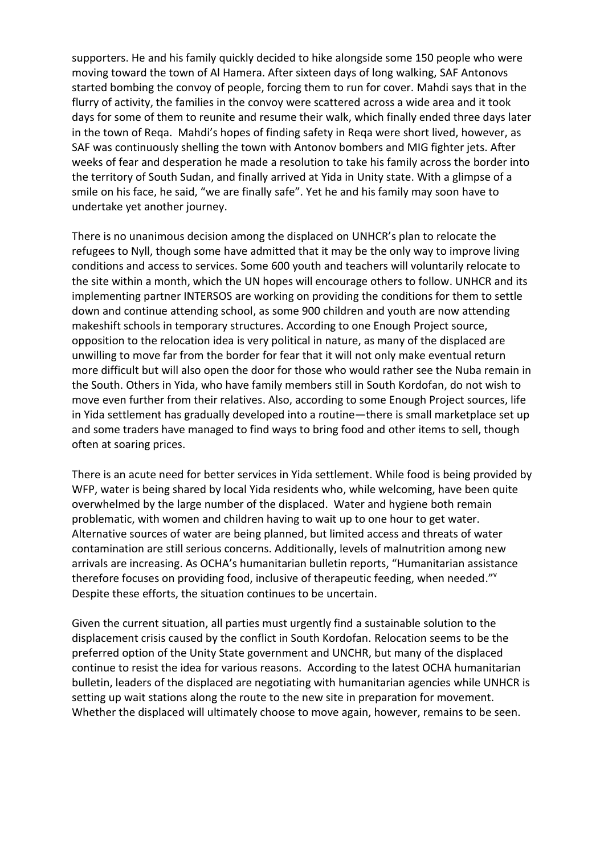supporters. He and his family quickly decided to hike alongside some 150 people who were moving toward the town of Al Hamera. After sixteen days of long walking, SAF Antonovs started bombing the convoy of people, forcing them to run for cover. Mahdi says that in the flurry of activity, the families in the convoy were scattered across a wide area and it took days for some of them to reunite and resume their walk, which finally ended three days later in the town of Reqa. Mahdi's hopes of finding safety in Reqa were short lived, however, as SAF was continuously shelling the town with Antonov bombers and MIG fighter jets. After weeks of fear and desperation he made a resolution to take his family across the border into the territory of South Sudan, and finally arrived at Yida in Unity state. With a glimpse of a smile on his face, he said, "we are finally safe". Yet he and his family may soon have to undertake yet another journey.

There is no unanimous decision among the displaced on UNHCR's plan to relocate the refugees to Nyll, though some have admitted that it may be the only way to improve living conditions and access to services. Some 600 youth and teachers will voluntarily relocate to the site within a month, which the UN hopes will encourage others to follow. UNHCR and its implementing partner INTERSOS are working on providing the conditions for them to settle down and continue attending school, as some 900 children and youth are now attending makeshift schools in temporary structures. According to one Enough Project source, opposition to the relocation idea is very political in nature, as many of the displaced are unwilling to move far from the border for fear that it will not only make eventual return more difficult but will also open the door for those who would rather see the Nuba remain in the South. Others in Yida, who have family members still in South Kordofan, do not wish to move even further from their relatives. Also, according to some Enough Project sources, life in Yida settlement has gradually developed into a routine—there is small marketplace set up and some traders have managed to find ways to bring food and other items to sell, though often at soaring prices.

There is an acute need for better services in Yida settlement. While food is being provided by WFP, water is being shared by local Yida residents who, while welcoming, have been quite overwhelmed by the large number of the displaced. Water and hygiene both remain problematic, with women and children having to wait up to one hour to get water. Alternative sources of water are being planned, but limited access and threats of water contamination are still serious concerns. Additionally, levels of malnutrition among new arrivals are increasing. As OCHA's humanitarian bulletin reports, "Humanitarian assistance therefore focuses on providing food, inclusive of therapeutic feeding, when needed."<sup>v</sup> Despite these efforts, the situation continues to be uncertain.

Given the current situation, all parties must urgently find a sustainable solution to the displacement crisis caused by the conflict in South Kordofan. Relocation seems to be the preferred option of the Unity State government and UNCHR, but many of the displaced continue to resist the idea for various reasons. According to the latest OCHA humanitarian bulletin, leaders of the displaced are negotiating with humanitarian agencies while UNHCR is setting up wait stations along the route to the new site in preparation for movement. Whether the displaced will ultimately choose to move again, however, remains to be seen.